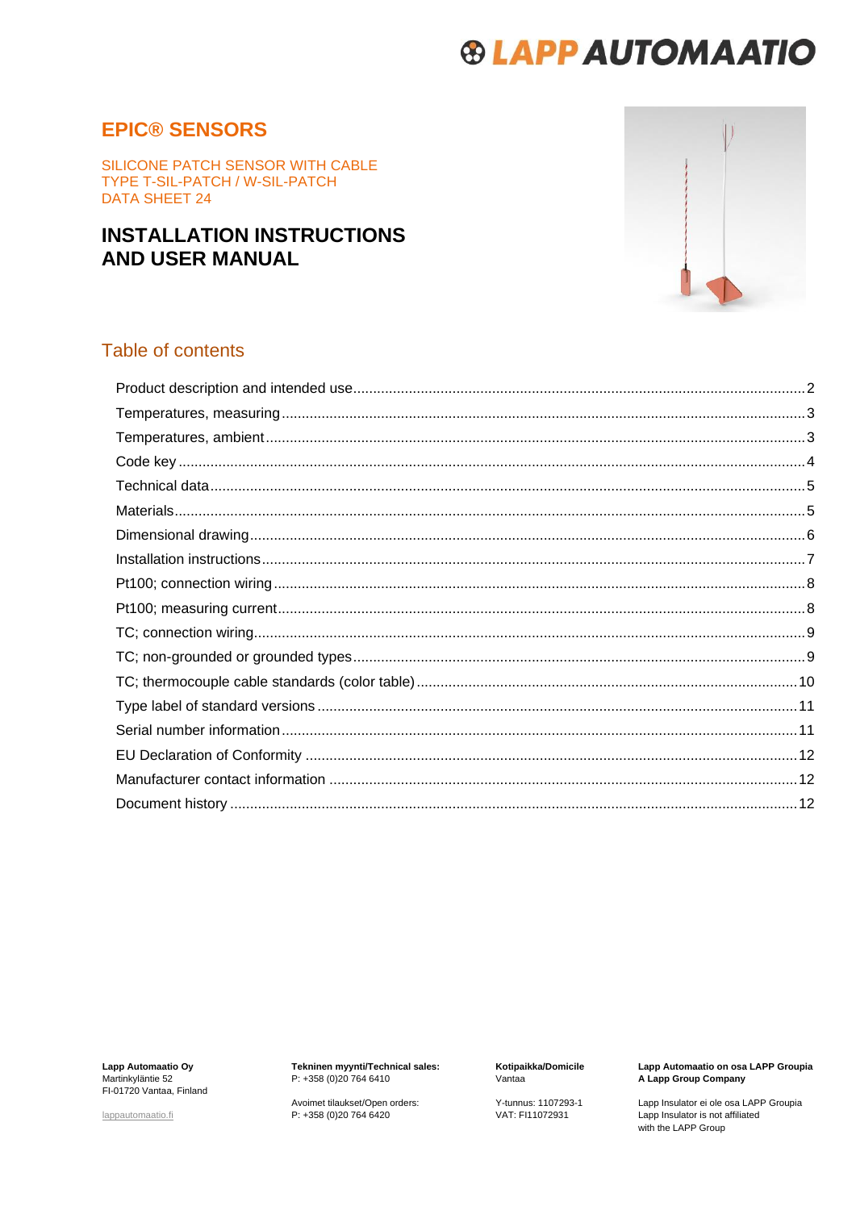### **EPIC® SENSORS**

SILICONE PATCH SENSOR WITH CABLE TYPE T-SIL-PATCH / W-SIL-PATCH **DATA SHEET 24** 

### **INSTALLATION INSTRUCTIONS AND USER MANUAL**



#### Table of contents

Lapp Automaatio Oy<br>Martinkyläntie 52 FI-01720 Vantaa, Finland

lappautomaatio.fi

Tekninen myynti/Technical sales:<br>P: +358 (0)20 764 6410

Avoimet tilaukset/Open orders:<br>P: +358 (0)20 764 6420

Kotipaikka/Domicile Vantaa

Y-tunnus: 1107293-1 VAT: FI11072931

Lapp Automaatio on osa LAPP Groupia<br>A Lapp Group Company

Lapp Insulator ei ole osa LAPP Groupia<br>Lapp Insulator is not affiliated<br>with the LAPP Group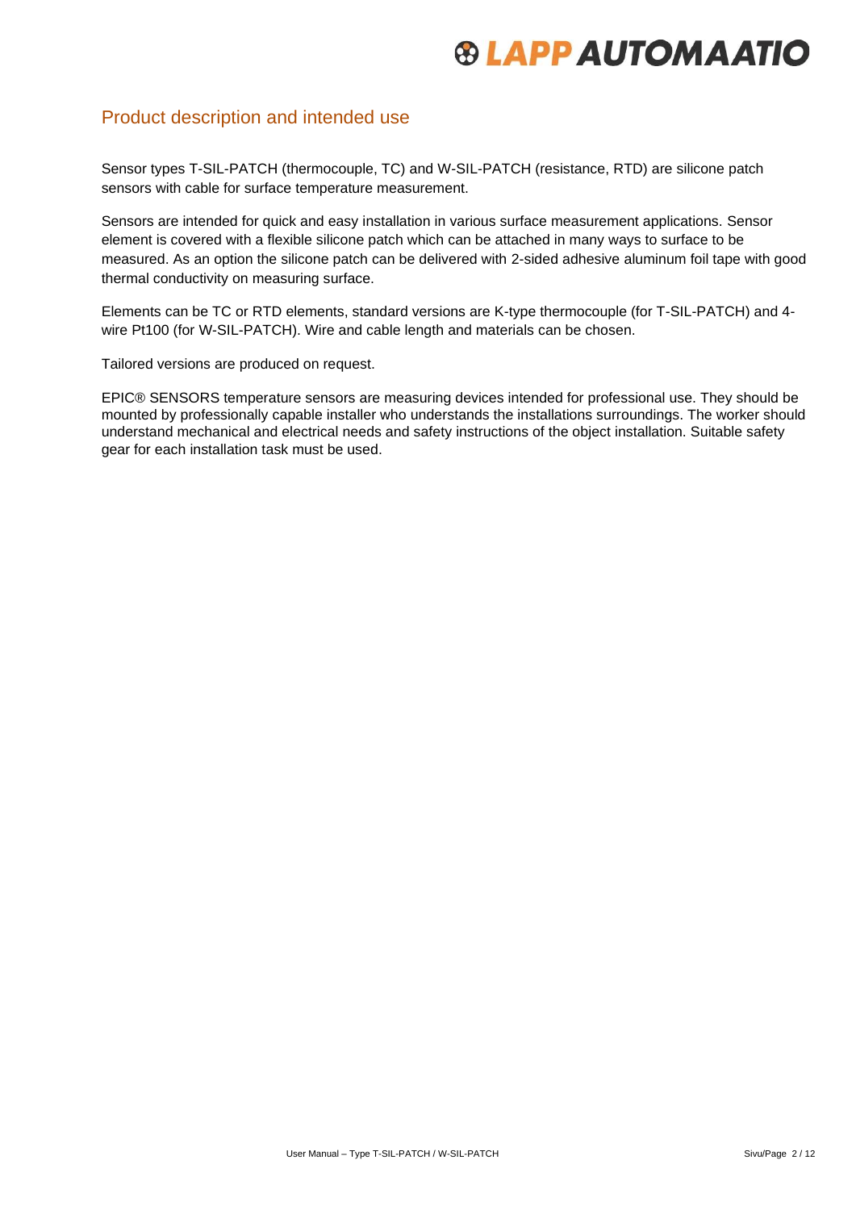#### <span id="page-1-0"></span>Product description and intended use

Sensor types T-SIL-PATCH (thermocouple, TC) and W-SIL-PATCH (resistance, RTD) are silicone patch sensors with cable for surface temperature measurement.

Sensors are intended for quick and easy installation in various surface measurement applications. Sensor element is covered with a flexible silicone patch which can be attached in many ways to surface to be measured. As an option the silicone patch can be delivered with 2-sided adhesive aluminum foil tape with good thermal conductivity on measuring surface.

Elements can be TC or RTD elements, standard versions are K-type thermocouple (for T-SIL-PATCH) and 4 wire Pt100 (for W-SIL-PATCH). Wire and cable length and materials can be chosen.

Tailored versions are produced on request.

EPIC® SENSORS temperature sensors are measuring devices intended for professional use. They should be mounted by professionally capable installer who understands the installations surroundings. The worker should understand mechanical and electrical needs and safety instructions of the object installation. Suitable safety gear for each installation task must be used.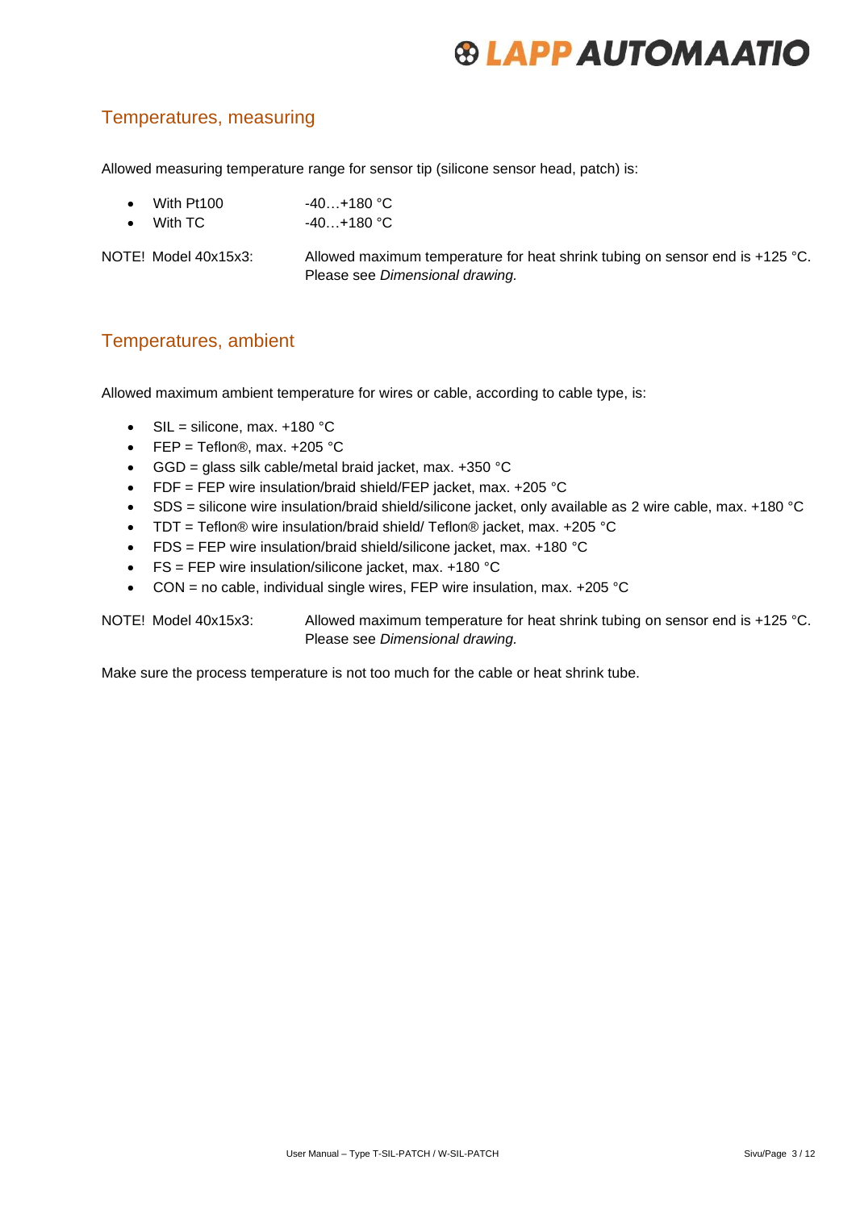### <span id="page-2-0"></span>Temperatures, measuring

Allowed measuring temperature range for sensor tip (silicone sensor head, patch) is:

- With Pt100 -40...+180 °C
- With TC 40...+180 °C

NOTE! Model 40x15x3: Allowed maximum temperature for heat shrink tubing on sensor end is +125 °C. Please see *Dimensional drawing.*

#### <span id="page-2-1"></span>Temperatures, ambient

Allowed maximum ambient temperature for wires or cable, according to cable type, is:

- SIL = silicone, max.  $+180$  °C
- FEP = Teflon<sup>®</sup>, max.  $+205$  °C
- GGD = glass silk cable/metal braid jacket, max.  $+350$  °C
- FDF = FEP wire insulation/braid shield/FEP jacket, max. +205 °C
- SDS = silicone wire insulation/braid shield/silicone jacket, only available as 2 wire cable, max. +180 °C
- TDT = Teflon® wire insulation/braid shield/ Teflon® jacket, max. +205 °C
- FDS = FEP wire insulation/braid shield/silicone jacket, max. +180 °C
- FS = FEP wire insulation/silicone jacket, max. +180 °C
- CON = no cable, individual single wires, FEP wire insulation, max.  $+205$  °C

NOTE! Model 40x15x3: Allowed maximum temperature for heat shrink tubing on sensor end is +125 °C. Please see *Dimensional drawing.*

Make sure the process temperature is not too much for the cable or heat shrink tube.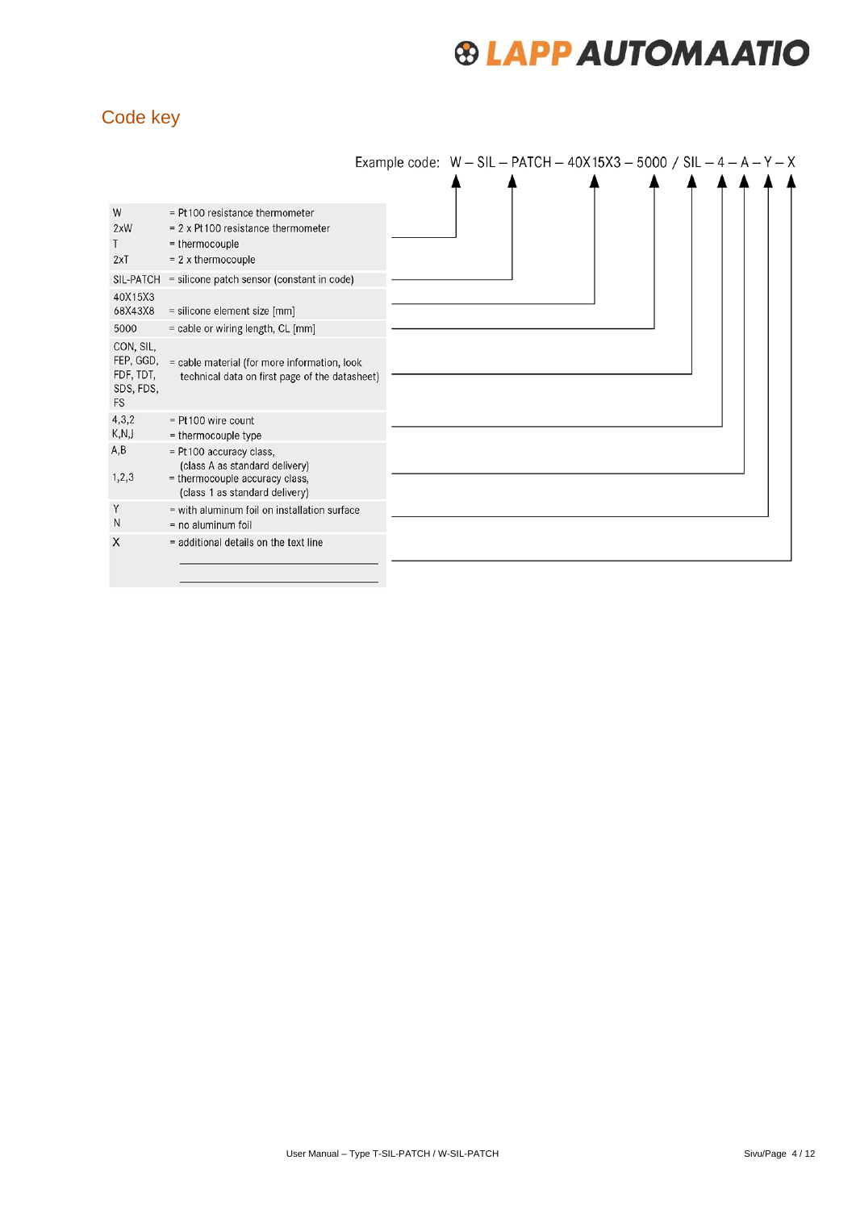### <span id="page-3-0"></span>Code key

|                                                               |                                                                                                                                |  | Example code: $W - SL - PATCH - 40X15X3 - 5000 / SL - 4 - A - Y - X$ |  |  |
|---------------------------------------------------------------|--------------------------------------------------------------------------------------------------------------------------------|--|----------------------------------------------------------------------|--|--|
|                                                               |                                                                                                                                |  |                                                                      |  |  |
| W<br>2xW<br>2xT                                               | = Pt100 resistance thermometer<br>$= 2 \times$ Pt 100 resistance thermometer<br>= thermocouple<br>$= 2x$ thermocouple          |  |                                                                      |  |  |
| SIL-PATCH                                                     | = silicone patch sensor (constant in code)                                                                                     |  |                                                                      |  |  |
| 40X15X3<br>68X43X8                                            | = silicone element size [mm]                                                                                                   |  |                                                                      |  |  |
| 5000                                                          | = cable or wiring length, CL [mm]                                                                                              |  |                                                                      |  |  |
| CON, SIL,<br>FEP, GGD,<br>FDF, TDT,<br>SDS, FDS,<br><b>FS</b> | = cable material (for more information, look<br>technical data on first page of the datasheet)                                 |  |                                                                      |  |  |
| 4,3,2<br>K,N,J                                                | $=$ Pt100 wire count<br>= thermocouple type                                                                                    |  |                                                                      |  |  |
| A, B<br>1,2,3                                                 | = Pt 100 accuracy class,<br>(class A as standard delivery)<br>= thermocouple accuracy class,<br>(class 1 as standard delivery) |  |                                                                      |  |  |
| Y<br>N                                                        | = with aluminum foil on installation surface<br>$=$ no aluminum foil                                                           |  |                                                                      |  |  |
| X                                                             | = additional details on the text line                                                                                          |  |                                                                      |  |  |
|                                                               |                                                                                                                                |  |                                                                      |  |  |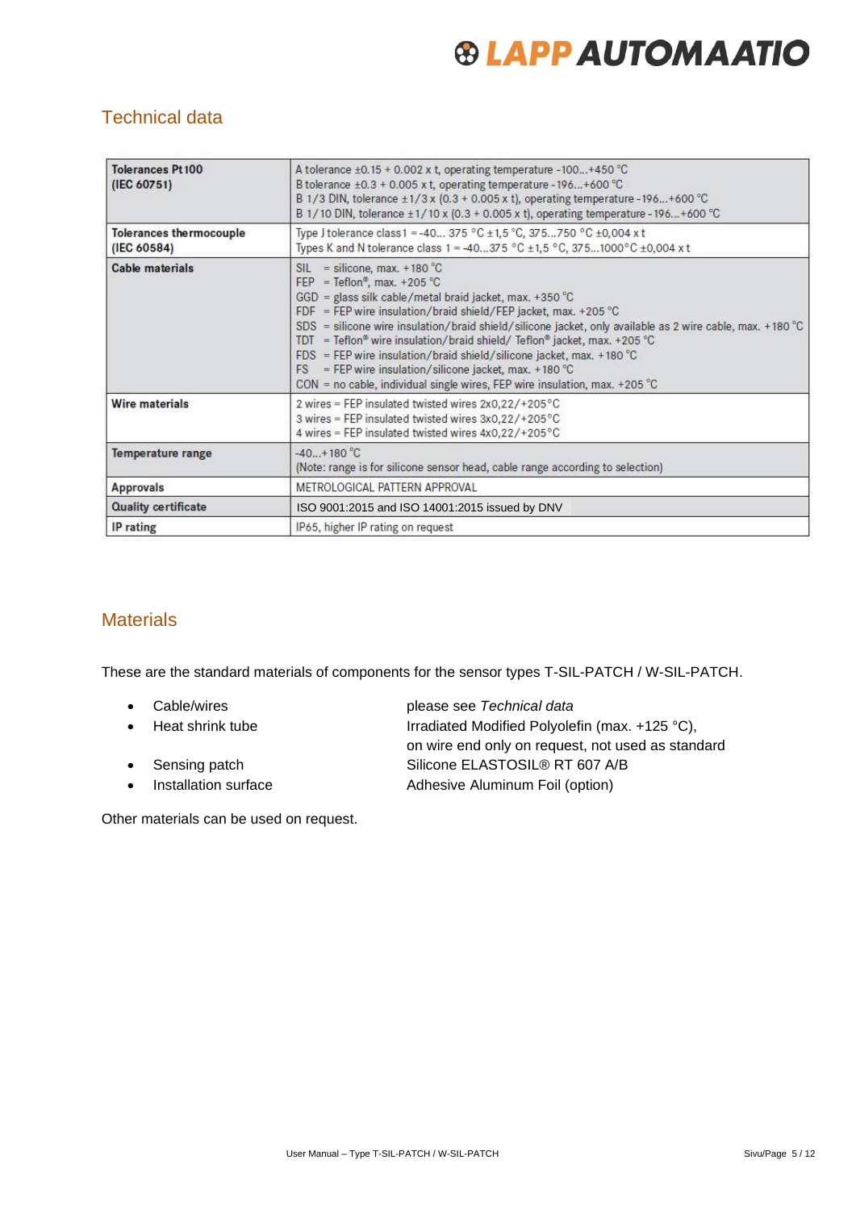### <span id="page-4-0"></span>Technical data

| <b>Tolerances Pt100</b><br>(IEC 60751) | A tolerance $\pm 0.15 + 0.002$ x t, operating temperature -100+450 °C<br>B tolerance $\pm 0.3 + 0.005$ x t, operating temperature - 196 + 600 °C<br>B 1/3 DIN, tolerance $\pm$ 1/3 x (0.3 + 0.005 x t), operating temperature -196+600 °C<br>B 1/10 DIN, tolerance ±1/10 x (0.3 + 0.005 x t), operating temperature -196+600 °C                                                                                                                                                                                                                                                                                                 |  |  |  |
|----------------------------------------|---------------------------------------------------------------------------------------------------------------------------------------------------------------------------------------------------------------------------------------------------------------------------------------------------------------------------------------------------------------------------------------------------------------------------------------------------------------------------------------------------------------------------------------------------------------------------------------------------------------------------------|--|--|--|
| Tolerances thermocouple<br>(IEC 60584) | Type J tolerance class 1 = -40 375 °C ± 1,5 °C, 375750 °C ± 0,004 x t<br>Types K and N tolerance class 1 = -40375 °C ±1,5 °C, 3751000 °C ±0,004 x t                                                                                                                                                                                                                                                                                                                                                                                                                                                                             |  |  |  |
| Cable materials                        | $SIL = silicone, max. +180 °C$<br>FEP = Teflon®, max. +205 °C<br>$GGD =$ glass silk cable/metal braid jacket, max. +350 °C<br>FDF = FEP wire insulation/braid shield/FEP jacket, max. +205 °C<br>SDS = silicone wire insulation/braid shield/silicone jacket, only available as 2 wire cable, max. +180 $^{\circ}$ C<br>TDT = Teflon® wire insulation/braid shield/ Teflon® jacket, max. +205 °C<br>FDS = FEP wire insulation/braid shield/silicone jacket, max. +180 $^{\circ}$ C<br>$FS = FEP$ wire insulation/silicone jacket, max. +180 °C<br>$CON = no cable$ , individual single wires, FEP wire insulation, max. +205 °C |  |  |  |
| Wire materials                         | 2 wires = FEP insulated twisted wires 2x0,22/+205°C<br>3 wires = FEP insulated twisted wires 3x0,22/+205°C<br>4 wires = FEP insulated twisted wires 4x0,22/+205°C                                                                                                                                                                                                                                                                                                                                                                                                                                                               |  |  |  |
| <b>Temperature range</b>               | $-40. + 180 °C$<br>(Note: range is for silicone sensor head, cable range according to selection)                                                                                                                                                                                                                                                                                                                                                                                                                                                                                                                                |  |  |  |
| <b>Approvals</b>                       | METROLOGICAL PATTERN APPROVAL                                                                                                                                                                                                                                                                                                                                                                                                                                                                                                                                                                                                   |  |  |  |
| <b>Quality certificate</b>             | ISO 9001:2015 and ISO 14001:2015 issued by DNV                                                                                                                                                                                                                                                                                                                                                                                                                                                                                                                                                                                  |  |  |  |
| IP rating                              | IP65, higher IP rating on request                                                                                                                                                                                                                                                                                                                                                                                                                                                                                                                                                                                               |  |  |  |

### <span id="page-4-1"></span>**Materials**

These are the standard materials of components for the sensor types T-SIL-PATCH / W-SIL-PATCH.

- 
- 
- 
- 

• Cable/wires please see *Technical data*

• Heat shrink tube Irradiated Modified Polyolefin (max. +125 °C), on wire end only on request, not used as standard • Sensing patch Silicone ELASTOSIL® RT 607 A/B • Installation surface Adhesive Aluminum Foil (option)

Other materials can be used on request.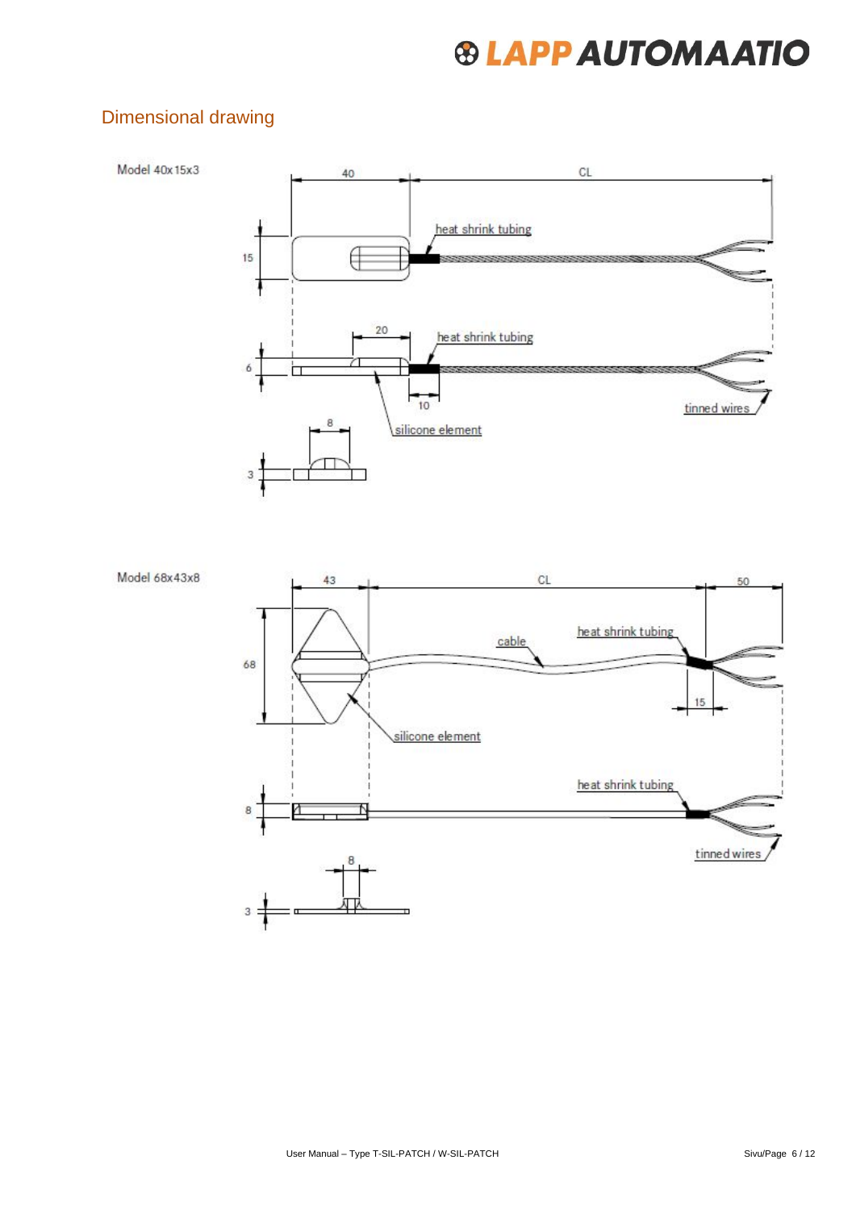### <span id="page-5-0"></span>Dimensional drawing



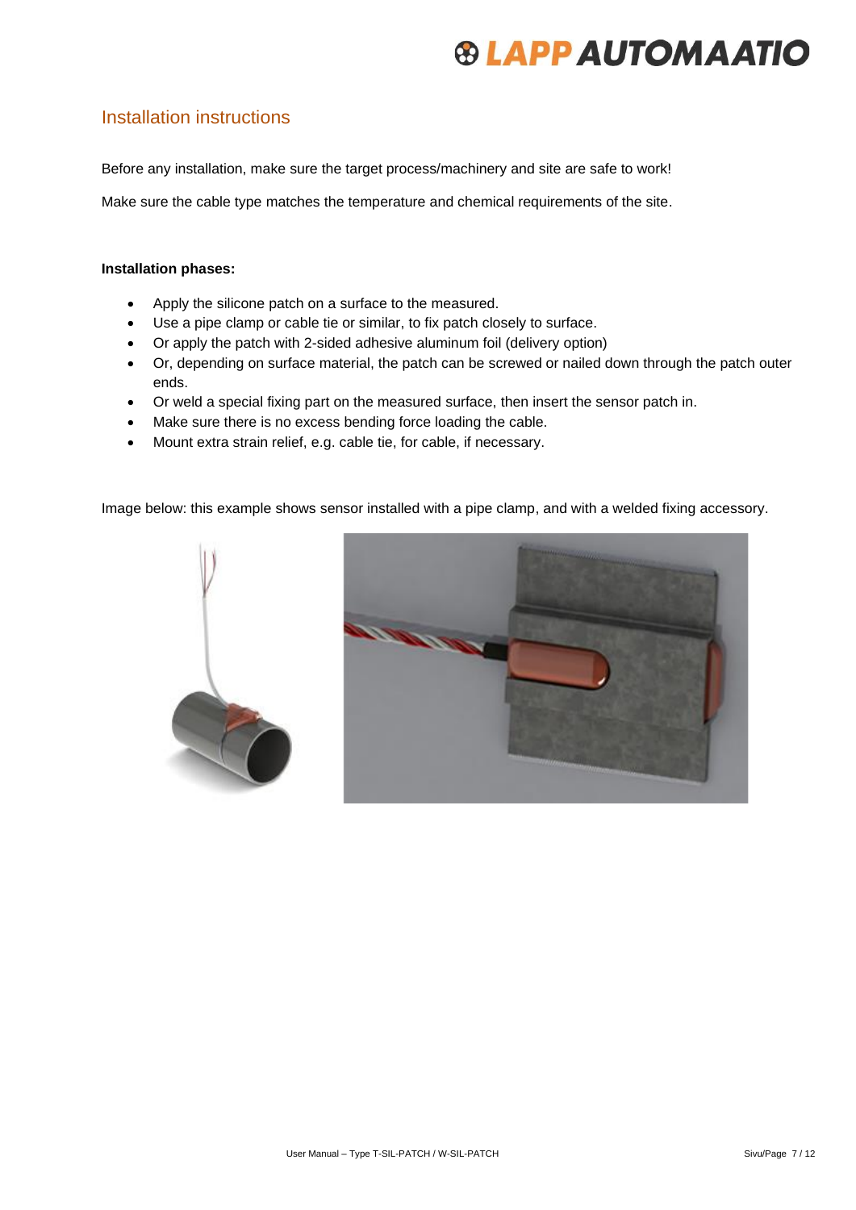### <span id="page-6-0"></span>Installation instructions

Before any installation, make sure the target process/machinery and site are safe to work!

Make sure the cable type matches the temperature and chemical requirements of the site.

#### **Installation phases:**

- Apply the silicone patch on a surface to the measured.
- Use a pipe clamp or cable tie or similar, to fix patch closely to surface.
- Or apply the patch with 2-sided adhesive aluminum foil (delivery option)
- Or, depending on surface material, the patch can be screwed or nailed down through the patch outer ends.
- Or weld a special fixing part on the measured surface, then insert the sensor patch in.
- Make sure there is no excess bending force loading the cable.
- Mount extra strain relief, e.g. cable tie, for cable, if necessary.

Image below: this example shows sensor installed with a pipe clamp, and with a welded fixing accessory.



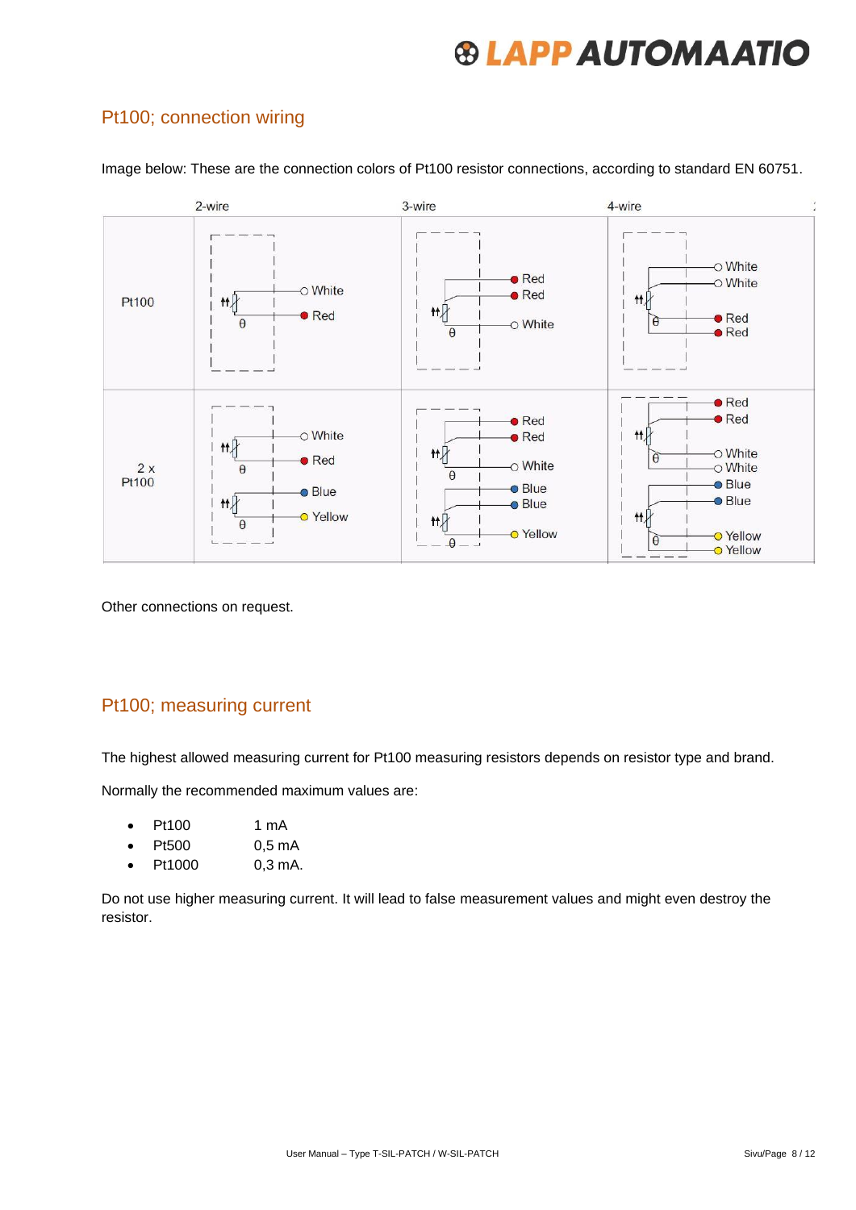### <span id="page-7-0"></span>Pt100; connection wiring



Image below: These are the connection colors of Pt100 resistor connections, according to standard EN 60751.

Other connections on request.

#### <span id="page-7-1"></span>Pt100; measuring current

The highest allowed measuring current for Pt100 measuring resistors depends on resistor type and brand.

Normally the recommended maximum values are:

- Pt100 1 mA
- Pt500 0,5 mA
- Pt1000 0,3 mA.

Do not use higher measuring current. It will lead to false measurement values and might even destroy the resistor.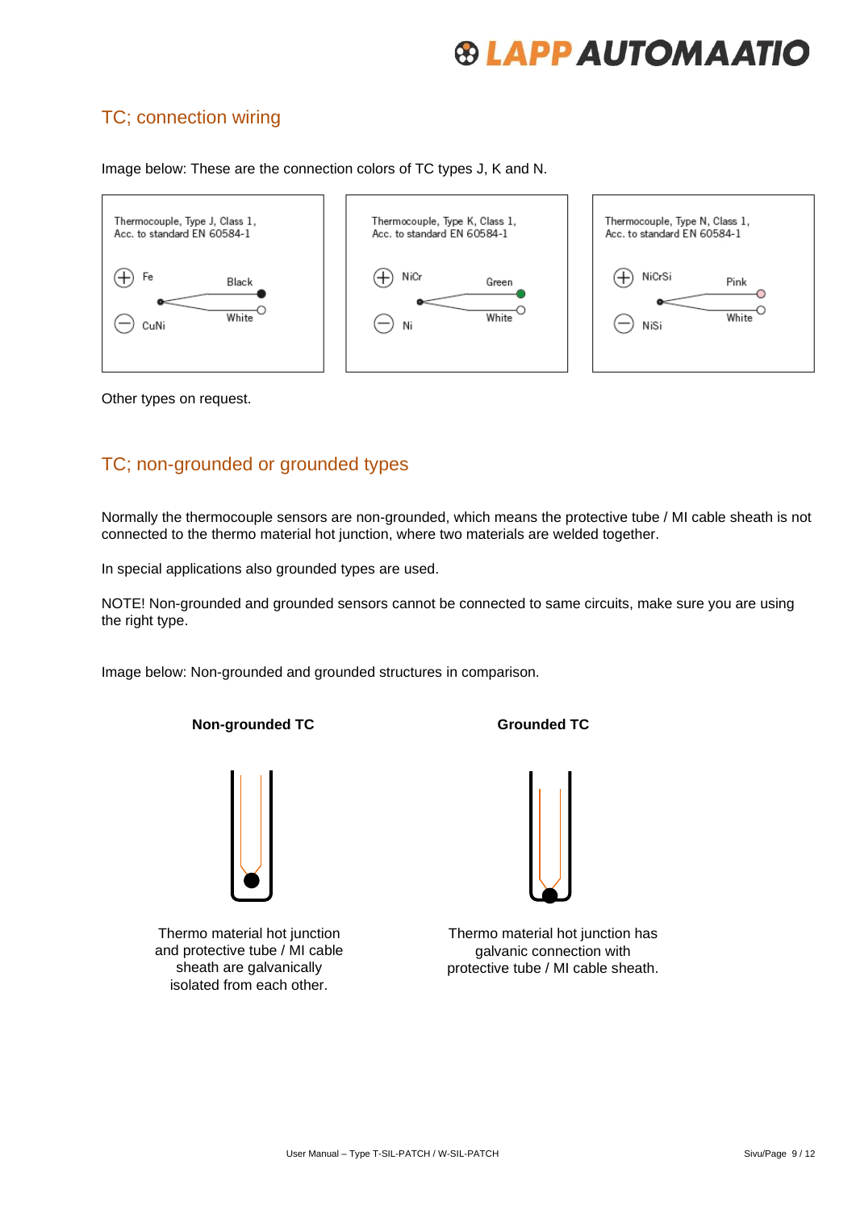### <span id="page-8-0"></span>TC; connection wiring

Image below: These are the connection colors of TC types J, K and N.



Other types on request.

### <span id="page-8-1"></span>TC; non-grounded or grounded types

Normally the thermocouple sensors are non-grounded, which means the protective tube / MI cable sheath is not connected to the thermo material hot junction, where two materials are welded together.

In special applications also grounded types are used.

NOTE! Non-grounded and grounded sensors cannot be connected to same circuits, make sure you are using the right type.

Image below: Non-grounded and grounded structures in comparison.

#### **Non-grounded TC** Grounded **TC**



Thermo material hot junction and protective tube / MI cable sheath are galvanically isolated from each other.



Thermo material hot junction has galvanic connection with protective tube / MI cable sheath.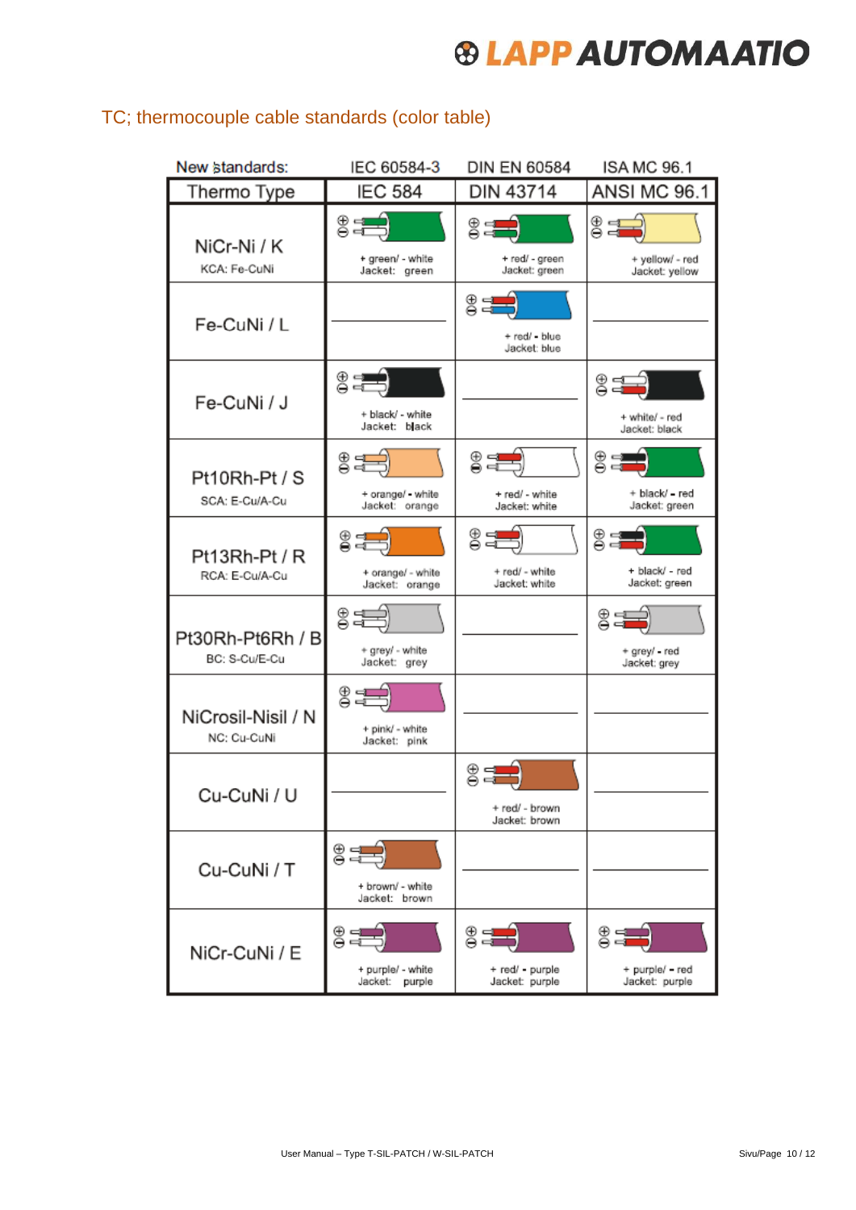| New standards:                    | IEC 60584-3                                      | <b>DIN EN 60584</b>                     | <b>ISA MC 96.1</b>                               |
|-----------------------------------|--------------------------------------------------|-----------------------------------------|--------------------------------------------------|
| Thermo Type                       | <b>IEC 584</b>                                   | DIN 43714                               | <b>ANSI MC 96.1</b>                              |
| NiCr-Ni / K<br>KCA: Fe-CuNi       | $rac{1}{2}$<br>+ green/ - white<br>Jacket: green | 83<br>+ red/ - green<br>Jacket: green   | $rac{1}{2}$<br>+ yellow/ - red<br>Jacket: yellow |
| Fe-CuNi / L                       |                                                  | 용다<br>+ red/ - blue<br>Jacket: blue     |                                                  |
| Fe-CuNi / J                       | 8분<br>+ black/ - white<br>Jacket: black          |                                         | @ 크드<br>+ white/ - red<br>Jacket: black          |
| Pt10Rh-Pt / S<br>SCA: E-Cu/A-Cu   | 83 동)<br>+ orange/ - white<br>Jacket: orange     | ⊜੩≡<br>+ red/ - white<br>Jacket: white  | $z =$<br>+ black/ = red<br>Jacket: green         |
| Pt13Rh-Pt / R<br>RCA: E-Cu/A-Cu   | ਃæ<br>+ orange/ - white<br>Jacket: orange        | 85<br>+ red/ - white<br>Jacket: white   | $\frac{1}{2}$<br>+ black/ - red<br>Jacket: green |
| Pt30Rh-Pt6Rh / B<br>BC: S-Cu/E-Cu | 85号)<br>+ grey/ - white<br>Jacket: grey          |                                         | 85국)<br>+ grey/ - red<br>Jacket: grey            |
| NiCrosil-Nisil / N<br>NC: Cu-CuNi | 82<br>+ pink/ - white<br>Jacket: pink            |                                         |                                                  |
| Cu-CuNi / U                       |                                                  | 응급<br>+ red/ - brown<br>Jacket: brown   |                                                  |
| Cu-CuNi / T                       | 8분<br>+ brown/ - white<br>Jacket: brown          |                                         |                                                  |
| NiCr-CuNi / E                     | 8분<br>+ purple/ - white<br>Jacket: purple        | 85<br>+ red/ - purple<br>Jacket: purple | 8년<br>+ purple/ - red<br>Jacket: purple          |

### <span id="page-9-0"></span>TC; thermocouple cable standards (color table)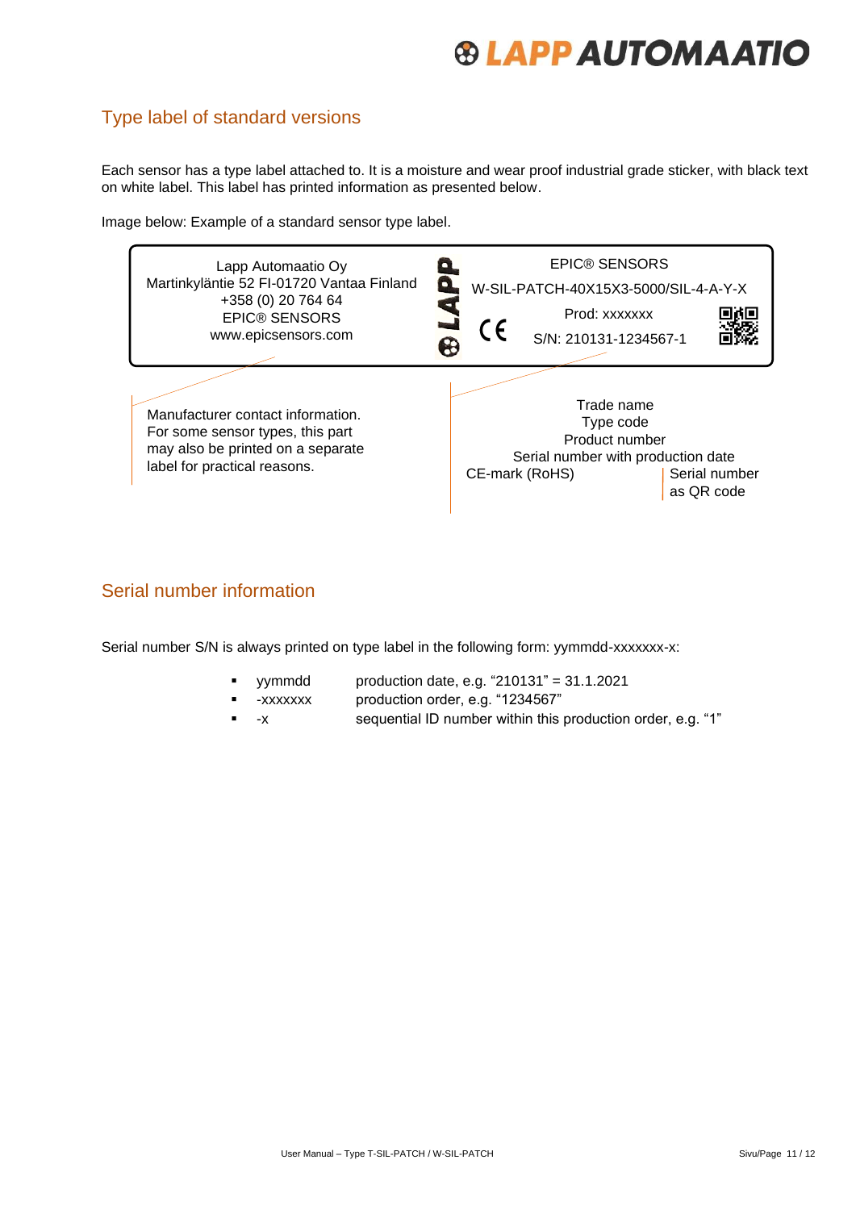### <span id="page-10-0"></span>Type label of standard versions

Each sensor has a type label attached to. It is a moisture and wear proof industrial grade sticker, with black text on white label. This label has printed information as presented below.

Image below: Example of a standard sensor type label.



#### <span id="page-10-1"></span>Serial number information

Serial number S/N is always printed on type label in the following form: yymmdd-xxxxxxx-x:

- yymmdd production date, e.g. "210131" = 31.1.2021
	- -xxxxxxx production order, e.g. "1234567"
- -x sequential ID number within this production order, e.g. "1"